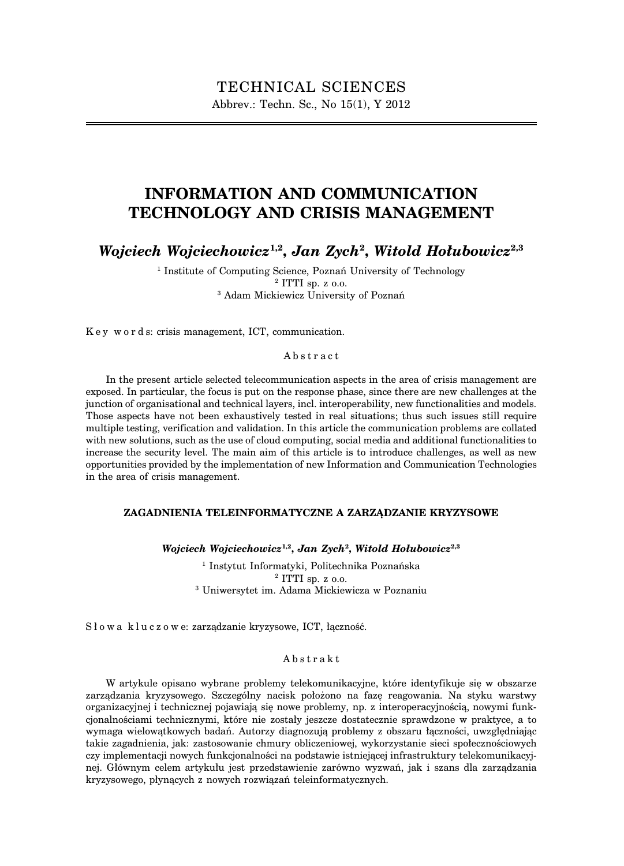# **INFORMATION AND COMMUNICATION TECHNOLOGY AND CRISIS MANAGEMENT**

*Wojciech Wojciechowicz***1,2,** *Jan Zych***<sup>2</sup> ,** *Witold Hołubowicz***2,3**

<sup>1</sup> Institute of Computing Science, Poznań University of Technology <sup>2</sup> ITTI sp. z o.o. <sup>3</sup> Adam Mickiewicz University of Poznań

K e y w o r d s: crisis management, ICT, communication.

#### Abstract

In the present article selected telecommunication aspects in the area of crisis management are exposed. In particular, the focus is put on the response phase, since there are new challenges at the junction of organisational and technical layers, incl. interoperability, new functionalities and models. Those aspects have not been exhaustively tested in real situations; thus such issues still require multiple testing, verification and validation. In this article the communication problems are collated with new solutions, such as the use of cloud computing, social media and additional functionalities to increase the security level. The main aim of this article is to introduce challenges, as well as new opportunities provided by the implementation of new Information and Communication Technologies in the area of crisis management.

#### **ZAGADNIENIA TELEINFORMATYCZNE A ZARZĄDZANIE KRYZYSOWE**

*Wojciech Wojciechowicz***1,2,** *Jan Zych***<sup>2</sup> ,** *Witold Hołubowicz***2,3**

<sup>1</sup> Instytut Informatyki, Politechnika Poznańska  $2$  ITTI sp. z  $0.0$ . <sup>3</sup> Uniwersytet im. Adama Mickiewicza w Poznaniu

Słowa kluczowe: zarządzanie kryzysowe, ICT, łączność.

#### Abstrakt

W artykule opisano wybrane problemy telekomunikacyjne, które identyfikuje się w obszarze zarządzania kryzysowego. Szczególny nacisk położono na fazę reagowania. Na styku warstwy organizacyjnej i technicznej pojawiają się nowe problemy, np. z interoperacyjnością, nowymi funkcjonalnościami technicznymi, które nie zostały jeszcze dostatecznie sprawdzone w praktyce, a to wymaga wielowątkowych badań. Autorzy diagnozują problemy z obszaru łączności, uwzględniając takie zagadnienia, jak: zastosowanie chmury obliczeniowej, wykorzystanie sieci społecznościowych czy implementacji nowych funkcjonalności na podstawie istniejącej infrastruktury telekomunikacyjnej. Głównym celem artykułu jest przedstawienie zarówno wyzwań, jak i szans dla zarządzania kryzysowego, płynących z nowych rozwiązań teleinformatycznych.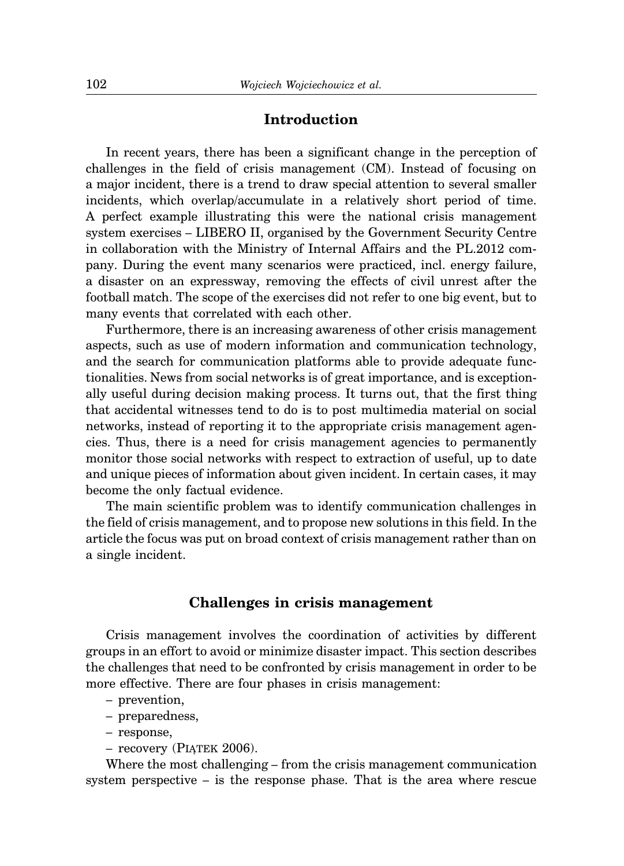### **Introduction**

In recent years, there has been a significant change in the perception of challenges in the field of crisis management (CM). Instead of focusing on a major incident, there is a trend to draw special attention to several smaller incidents, which overlap/accumulate in a relatively short period of time. A perfect example illustrating this were the national crisis management system exercises – LIBERO II, organised by the Government Security Centre in collaboration with the Ministry of Internal Affairs and the PL.2012 company. During the event many scenarios were practiced, incl. energy failure, a disaster on an expressway, removing the effects of civil unrest after the football match. The scope of the exercises did not refer to one big event, but to many events that correlated with each other.

Furthermore, there is an increasing awareness of other crisis management aspects, such as use of modern information and communication technology, and the search for communication platforms able to provide adequate functionalities. News from social networks is of great importance, and is exceptionally useful during decision making process. It turns out, that the first thing that accidental witnesses tend to do is to post multimedia material on social networks, instead of reporting it to the appropriate crisis management agencies. Thus, there is a need for crisis management agencies to permanently monitor those social networks with respect to extraction of useful, up to date and unique pieces of information about given incident. In certain cases, it may become the only factual evidence.

The main scientific problem was to identify communication challenges in the field of crisis management, and to propose new solutions in this field. In the article the focus was put on broad context of crisis management rather than on a single incident.

#### **Challenges in crisis management**

Crisis management involves the coordination of activities by different groups in an effort to avoid or minimize disaster impact. This section describes the challenges that need to be confronted by crisis management in order to be more effective. There are four phases in crisis management:

- prevention,
- preparedness,
- response,
- recovery (PIĄTEK 2006).

Where the most challenging – from the crisis management communication system perspective – is the response phase. That is the area where rescue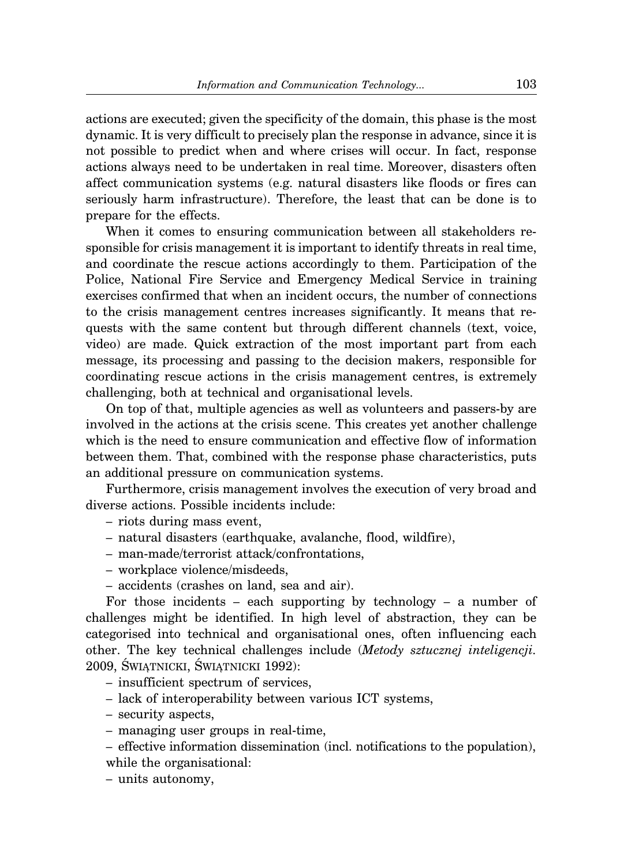actions are executed; given the specificity of the domain, this phase is the most dynamic. It is very difficult to precisely plan the response in advance, since it is not possible to predict when and where crises will occur. In fact, response actions always need to be undertaken in real time. Moreover, disasters often affect communication systems (e.g. natural disasters like floods or fires can seriously harm infrastructure). Therefore, the least that can be done is to prepare for the effects.

When it comes to ensuring communication between all stakeholders responsible for crisis management it is important to identify threats in real time, and coordinate the rescue actions accordingly to them. Participation of the Police, National Fire Service and Emergency Medical Service in training exercises confirmed that when an incident occurs, the number of connections to the crisis management centres increases significantly. It means that requests with the same content but through different channels (text, voice, video) are made. Quick extraction of the most important part from each message, its processing and passing to the decision makers, responsible for coordinating rescue actions in the crisis management centres, is extremely challenging, both at technical and organisational levels.

On top of that, multiple agencies as well as volunteers and passers-by are involved in the actions at the crisis scene. This creates yet another challenge which is the need to ensure communication and effective flow of information between them. That, combined with the response phase characteristics, puts an additional pressure on communication systems.

Furthermore, crisis management involves the execution of very broad and diverse actions. Possible incidents include:

- riots during mass event,
- natural disasters (earthquake, avalanche, flood, wildfire),
- man-made/terrorist attack/confrontations,
- workplace violence/misdeeds,
- accidents (crashes on land, sea and air).

For those incidents – each supporting by technology – a number of challenges might be identified. In high level of abstraction, they can be categorised into technical and organisational ones, often influencing each other. The key technical challenges include (*Metody sztucznej inteligencji.* 2009, ŚWIĄTNICKI, ŚWIĄTNICKI 1992):

- insufficient spectrum of services,
- lack of interoperability between various ICT systems,
- security aspects,
- managing user groups in real-time,
- effective information dissemination (incl. notifications to the population), while the organisational:
- units autonomy,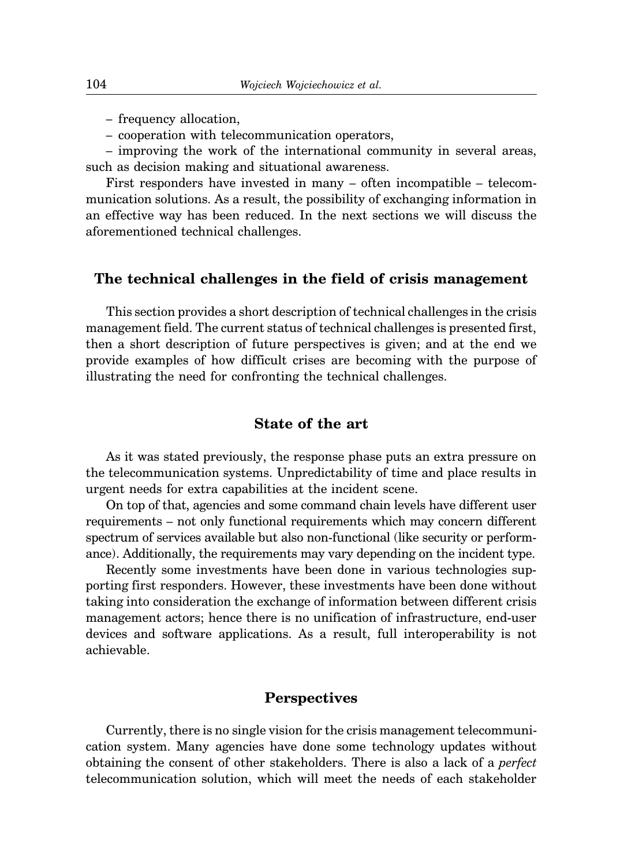- frequency allocation,
- cooperation with telecommunication operators,

– improving the work of the international community in several areas, such as decision making and situational awareness.

First responders have invested in many – often incompatible – telecommunication solutions. As a result, the possibility of exchanging information in an effective way has been reduced. In the next sections we will discuss the aforementioned technical challenges.

#### **The technical challenges in the field of crisis management**

This section provides a short description of technical challenges in the crisis management field. The current status of technical challenges is presented first, then a short description of future perspectives is given; and at the end we provide examples of how difficult crises are becoming with the purpose of illustrating the need for confronting the technical challenges.

# **State of the art**

As it was stated previously, the response phase puts an extra pressure on the telecommunication systems. Unpredictability of time and place results in urgent needs for extra capabilities at the incident scene.

On top of that, agencies and some command chain levels have different user requirements – not only functional requirements which may concern different spectrum of services available but also non-functional (like security or performance). Additionally, the requirements may vary depending on the incident type.

Recently some investments have been done in various technologies supporting first responders. However, these investments have been done without taking into consideration the exchange of information between different crisis management actors; hence there is no unification of infrastructure, end-user devices and software applications. As a result, full interoperability is not achievable.

### **Perspectives**

Currently, there is no single vision for the crisis management telecommunication system. Many agencies have done some technology updates without obtaining the consent of other stakeholders. There is also a lack of a *perfect* telecommunication solution, which will meet the needs of each stakeholder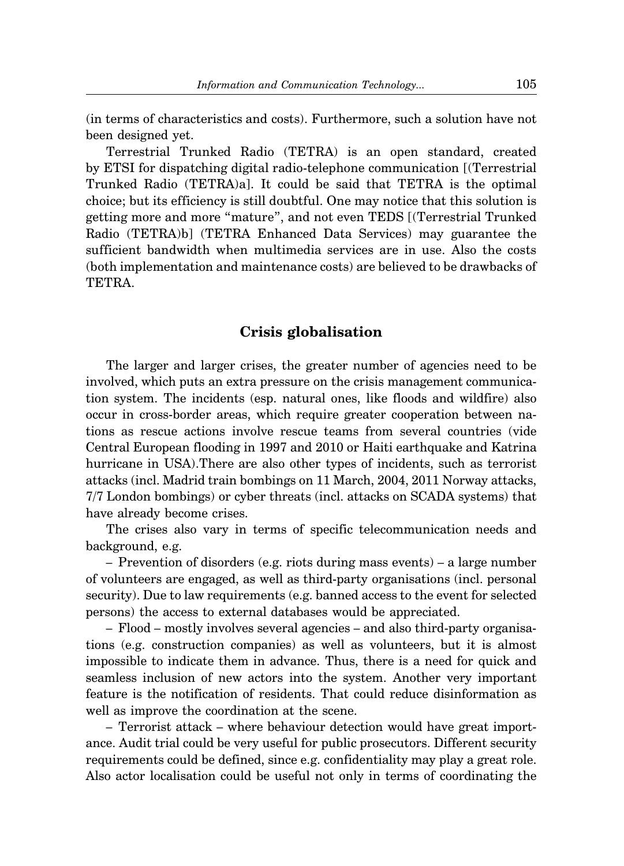(in terms of characteristics and costs). Furthermore, such a solution have not been designed yet.

Terrestrial Trunked Radio (TETRA) is an open standard, created by ETSI for dispatching digital radio-telephone communication [(Terrestrial Trunked Radio (TETRA)a]. It could be said that TETRA is the optimal choice; but its efficiency is still doubtful. One may notice that this solution is getting more and more "mature", and not even TEDS [(Terrestrial Trunked Radio (TETRA)b] (TETRA Enhanced Data Services) may guarantee the sufficient bandwidth when multimedia services are in use. Also the costs (both implementation and maintenance costs) are believed to be drawbacks of TETRA.

# **Crisis globalisation**

The larger and larger crises, the greater number of agencies need to be involved, which puts an extra pressure on the crisis management communication system. The incidents (esp. natural ones, like floods and wildfire) also occur in cross-border areas, which require greater cooperation between nations as rescue actions involve rescue teams from several countries (vide Central European flooding in 1997 and 2010 or Haiti earthquake and Katrina hurricane in USA).There are also other types of incidents, such as terrorist attacks (incl. Madrid train bombings on 11 March, 2004, 2011 Norway attacks, 7/7 London bombings) or cyber threats (incl. attacks on SCADA systems) that have already become crises.

The crises also vary in terms of specific telecommunication needs and background, e.g.

– Prevention of disorders (e.g. riots during mass events) – a large number of volunteers are engaged, as well as third-party organisations (incl. personal security). Due to law requirements (e.g. banned access to the event for selected persons) the access to external databases would be appreciated.

– Flood – mostly involves several agencies – and also third-party organisations (e.g. construction companies) as well as volunteers, but it is almost impossible to indicate them in advance. Thus, there is a need for quick and seamless inclusion of new actors into the system. Another very important feature is the notification of residents. That could reduce disinformation as well as improve the coordination at the scene.

– Terrorist attack – where behaviour detection would have great importance. Audit trial could be very useful for public prosecutors. Different security requirements could be defined, since e.g. confidentiality may play a great role. Also actor localisation could be useful not only in terms of coordinating the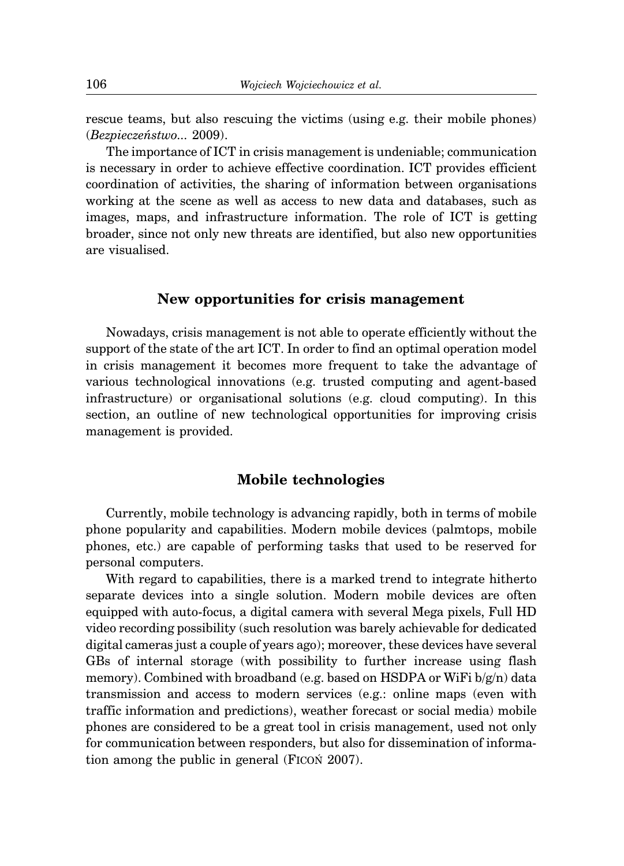rescue teams, but also rescuing the victims (using e.g. their mobile phones) (*Bezpieczeństwo...* 2009).

The importance of ICT in crisis management is undeniable; communication is necessary in order to achieve effective coordination. ICT provides efficient coordination of activities, the sharing of information between organisations working at the scene as well as access to new data and databases, such as images, maps, and infrastructure information. The role of ICT is getting broader, since not only new threats are identified, but also new opportunities are visualised.

#### **New opportunities for crisis management**

Nowadays, crisis management is not able to operate efficiently without the support of the state of the art ICT. In order to find an optimal operation model in crisis management it becomes more frequent to take the advantage of various technological innovations (e.g. trusted computing and agent-based infrastructure) or organisational solutions (e.g. cloud computing). In this section, an outline of new technological opportunities for improving crisis management is provided.

#### **Mobile technologies**

Currently, mobile technology is advancing rapidly, both in terms of mobile phone popularity and capabilities. Modern mobile devices (palmtops, mobile phones, etc.) are capable of performing tasks that used to be reserved for personal computers.

With regard to capabilities, there is a marked trend to integrate hitherto separate devices into a single solution. Modern mobile devices are often equipped with auto-focus, a digital camera with several Mega pixels, Full HD video recording possibility (such resolution was barely achievable for dedicated digital cameras just a couple of years ago); moreover, these devices have several GBs of internal storage (with possibility to further increase using flash memory). Combined with broadband (e.g. based on HSDPA or WiFi  $b/g(n)$  data transmission and access to modern services (e.g.: online maps (even with traffic information and predictions), weather forecast or social media) mobile phones are considered to be a great tool in crisis management, used not only for communication between responders, but also for dissemination of information among the public in general (FICOŃ 2007).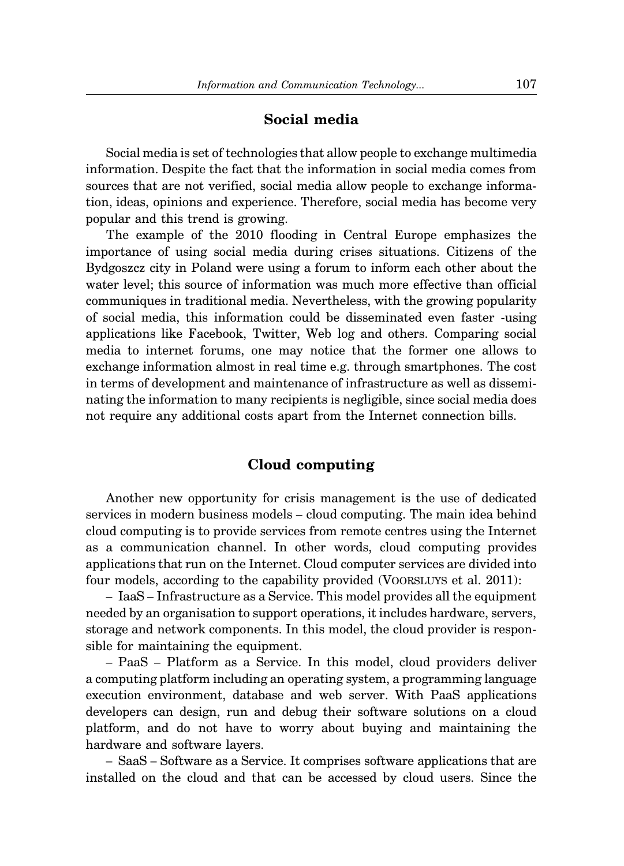### **Social media**

Social media is set of technologies that allow people to exchange multimedia information. Despite the fact that the information in social media comes from sources that are not verified, social media allow people to exchange information, ideas, opinions and experience. Therefore, social media has become very popular and this trend is growing.

The example of the 2010 flooding in Central Europe emphasizes the importance of using social media during crises situations. Citizens of the Bydgoszcz city in Poland were using a forum to inform each other about the water level; this source of information was much more effective than official communiques in traditional media. Nevertheless, with the growing popularity of social media, this information could be disseminated even faster -using applications like Facebook, Twitter, Web log and others. Comparing social media to internet forums, one may notice that the former one allows to exchange information almost in real time e.g. through smartphones. The cost in terms of development and maintenance of infrastructure as well as disseminating the information to many recipients is negligible, since social media does not require any additional costs apart from the Internet connection bills.

#### **Cloud computing**

Another new opportunity for crisis management is the use of dedicated services in modern business models – cloud computing. The main idea behind cloud computing is to provide services from remote centres using the Internet as a communication channel. In other words, cloud computing provides applications that run on the Internet. Cloud computer services are divided into four models, according to the capability provided (VOORSLUYS et al. 2011):

– IaaS – Infrastructure as a Service. This model provides all the equipment needed by an organisation to support operations, it includes hardware, servers, storage and network components. In this model, the cloud provider is responsible for maintaining the equipment.

– PaaS – Platform as a Service. In this model, cloud providers deliver a computing platform including an operating system, a programming language execution environment, database and web server. With PaaS applications developers can design, run and debug their software solutions on a cloud platform, and do not have to worry about buying and maintaining the hardware and software layers.

– SaaS – Software as a Service. It comprises software applications that are installed on the cloud and that can be accessed by cloud users. Since the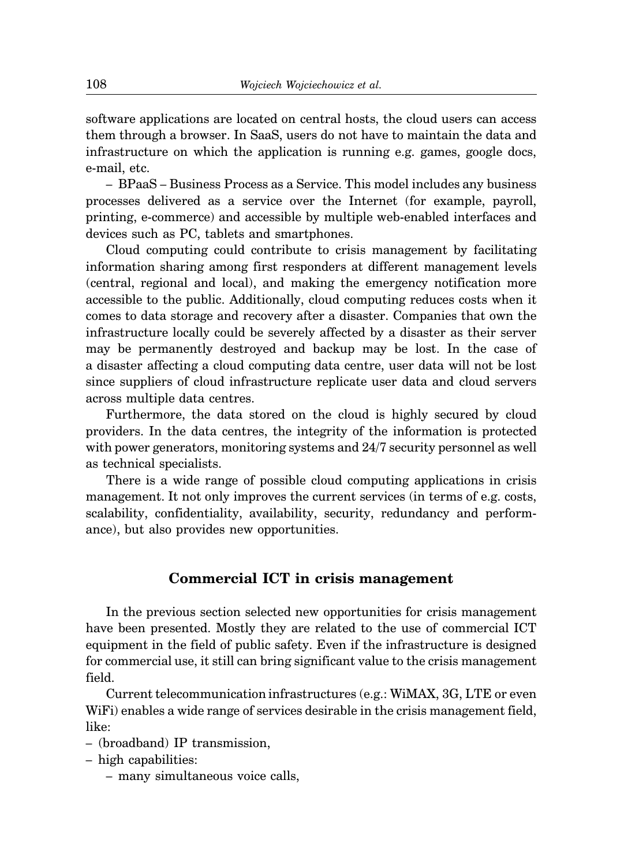software applications are located on central hosts, the cloud users can access them through a browser. In SaaS, users do not have to maintain the data and infrastructure on which the application is running e.g. games, google docs, e-mail, etc.

– BPaaS – Business Process as a Service. This model includes any business processes delivered as a service over the Internet (for example, payroll, printing, e-commerce) and accessible by multiple web-enabled interfaces and devices such as PC, tablets and smartphones.

Cloud computing could contribute to crisis management by facilitating information sharing among first responders at different management levels (central, regional and local), and making the emergency notification more accessible to the public. Additionally, cloud computing reduces costs when it comes to data storage and recovery after a disaster. Companies that own the infrastructure locally could be severely affected by a disaster as their server may be permanently destroyed and backup may be lost. In the case of a disaster affecting a cloud computing data centre, user data will not be lost since suppliers of cloud infrastructure replicate user data and cloud servers across multiple data centres.

Furthermore, the data stored on the cloud is highly secured by cloud providers. In the data centres, the integrity of the information is protected with power generators, monitoring systems and 24/7 security personnel as well as technical specialists.

There is a wide range of possible cloud computing applications in crisis management. It not only improves the current services (in terms of e.g. costs, scalability, confidentiality, availability, security, redundancy and performance), but also provides new opportunities.

# **Commercial ICT in crisis management**

In the previous section selected new opportunities for crisis management have been presented. Mostly they are related to the use of commercial ICT equipment in the field of public safety. Even if the infrastructure is designed for commercial use, it still can bring significant value to the crisis management field.

Current telecommunication infrastructures (e.g.: WiMAX, 3G, LTE or even WiFi) enables a wide range of services desirable in the crisis management field, like:

– (broadband) IP transmission,

– high capabilities:

– many simultaneous voice calls,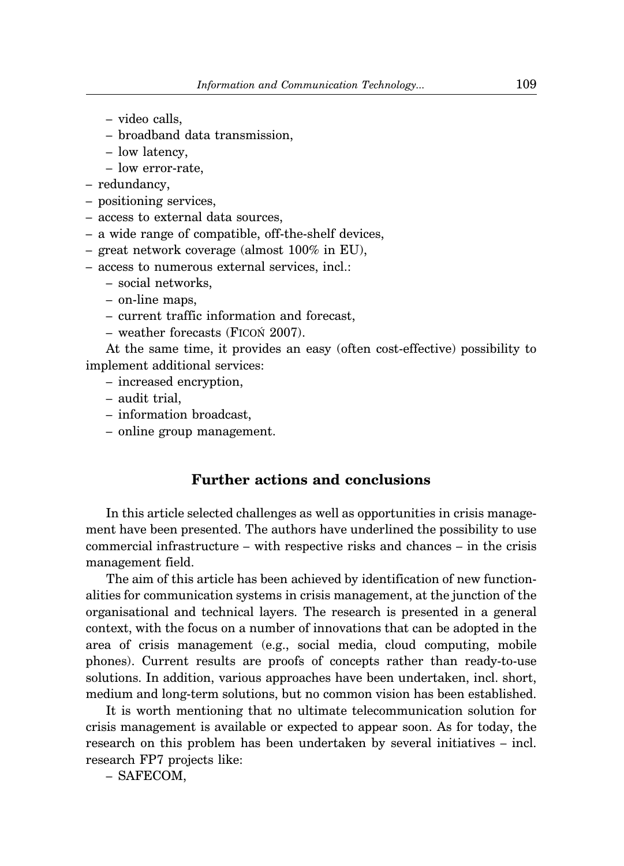- video calls,
- broadband data transmission,
- low latency,
- low error-rate,
- redundancy,
- positioning services,
- access to external data sources,
- a wide range of compatible, off-the-shelf devices,
- great network coverage (almost 100% in EU),
- access to numerous external services, incl.:
	- social networks,
	- on-line maps,
	- current traffic information and forecast,
	- weather forecasts (FICOŃ 2007).

At the same time, it provides an easy (often cost-effective) possibility to implement additional services:

- increased encryption,
- audit trial,
- information broadcast,
- online group management.

# **Further actions and conclusions**

In this article selected challenges as well as opportunities in crisis management have been presented. The authors have underlined the possibility to use commercial infrastructure – with respective risks and chances – in the crisis management field.

The aim of this article has been achieved by identification of new functionalities for communication systems in crisis management, at the junction of the organisational and technical layers. The research is presented in a general context, with the focus on a number of innovations that can be adopted in the area of crisis management (e.g., social media, cloud computing, mobile phones). Current results are proofs of concepts rather than ready-to-use solutions. In addition, various approaches have been undertaken, incl. short, medium and long-term solutions, but no common vision has been established.

It is worth mentioning that no ultimate telecommunication solution for crisis management is available or expected to appear soon. As for today, the research on this problem has been undertaken by several initiatives – incl. research FP7 projects like:

– SAFECOM,